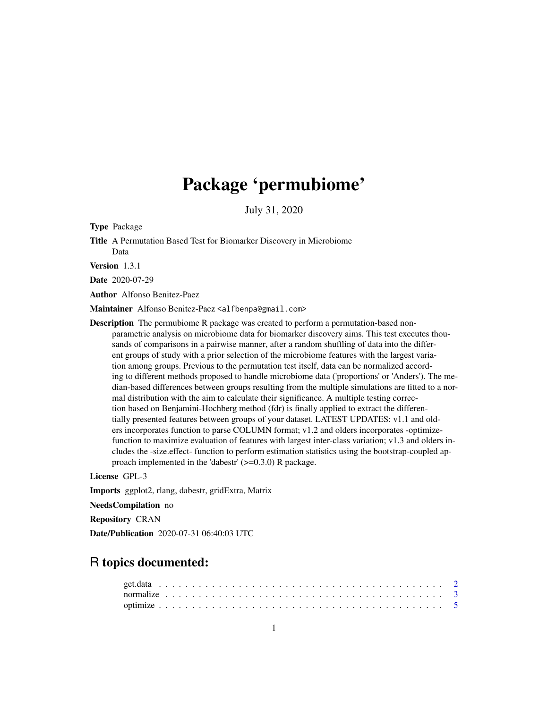## Package 'permubiome'

July 31, 2020

Type Package

Title A Permutation Based Test for Biomarker Discovery in Microbiome Data

Version 1.3.1

Date 2020-07-29

Author Alfonso Benitez-Paez

Maintainer Alfonso Benitez-Paez <alfbenpa@gmail.com>

Description The permubiome R package was created to perform a permutation-based nonparametric analysis on microbiome data for biomarker discovery aims. This test executes thousands of comparisons in a pairwise manner, after a random shuffling of data into the different groups of study with a prior selection of the microbiome features with the largest variation among groups. Previous to the permutation test itself, data can be normalized according to different methods proposed to handle microbiome data ('proportions' or 'Anders'). The median-based differences between groups resulting from the multiple simulations are fitted to a normal distribution with the aim to calculate their significance. A multiple testing correction based on Benjamini-Hochberg method (fdr) is finally applied to extract the differentially presented features between groups of your dataset. LATEST UPDATES: v1.1 and olders incorporates function to parse COLUMN format; v1.2 and olders incorporates -optimizefunction to maximize evaluation of features with largest inter-class variation; v1.3 and olders includes the -size.effect- function to perform estimation statistics using the bootstrap-coupled approach implemented in the 'dabestr' (>=0.3.0) R package.

License GPL-3

Imports ggplot2, rlang, dabestr, gridExtra, Matrix

NeedsCompilation no

Repository CRAN

Date/Publication 2020-07-31 06:40:03 UTC

## R topics documented: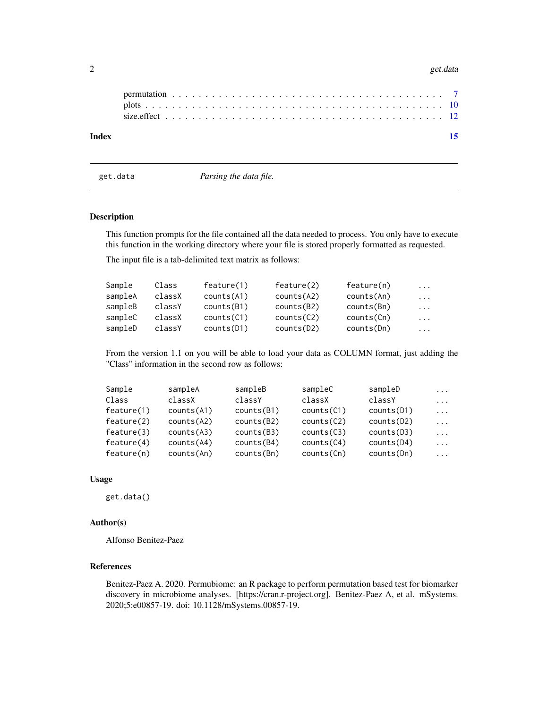#### <span id="page-1-0"></span>2 get.data

| Index |  |  |  |  |  |  |  |  |  |  |  |  |  |  |  |  |  |  |  |  |  |
|-------|--|--|--|--|--|--|--|--|--|--|--|--|--|--|--|--|--|--|--|--|--|
|       |  |  |  |  |  |  |  |  |  |  |  |  |  |  |  |  |  |  |  |  |  |
|       |  |  |  |  |  |  |  |  |  |  |  |  |  |  |  |  |  |  |  |  |  |

get.data *Parsing the data file.*

## Description

This function prompts for the file contained all the data needed to process. You only have to execute this function in the working directory where your file is stored properly formatted as requested.

The input file is a tab-delimited text matrix as follows:

| Sample  | Class  | feature(1) | feature(2) | feature(n) | $\cdots$ |
|---------|--------|------------|------------|------------|----------|
| sampleA | classX | counts(A1) | counts(A2) | counts(An) | $\cdots$ |
| sampleB | classY | counts(B1) | counts(B2) | counts(Bn) | $\cdots$ |
| sampleC | classX | counts(C1) | counts(C2) | counts(Cn) | $\cdots$ |
| sampleD | classY | counts(D1) | counts(D2) | counts(Dn) | $\cdots$ |

From the version 1.1 on you will be able to load your data as COLUMN format, just adding the "Class" information in the second row as follows:

| Sample     | sampleA    | sampleB    | sampleC    | sampleD    | $\cdots$ |
|------------|------------|------------|------------|------------|----------|
| Class      | classX     | classY     | classX     | classY     | $\cdots$ |
| feature(1) | counts(A1) | counts(B1) | counts(C1) | counts(D1) | $\cdots$ |
| feature(2) | counts(A2) | counts(B2) | counts(C2) | counts(D2) | $\cdots$ |
| feature(3) | counts(A3) | counts(B3) | counts(C3) | counts(D3) | $\cdots$ |
| feature(4) | counts(A4) | counts(B4) | counts(C4) | counts(D4) | $\ddots$ |
| feature(n) | counts(An) | counts(Bn) | counts(Ch) | counts(Dn) | .        |

#### Usage

get.data()

## Author(s)

Alfonso Benitez-Paez

## References

Benitez-Paez A. 2020. Permubiome: an R package to perform permutation based test for biomarker discovery in microbiome analyses. [https://cran.r-project.org]. Benitez-Paez A, et al. mSystems. 2020;5:e00857-19. doi: 10.1128/mSystems.00857-19.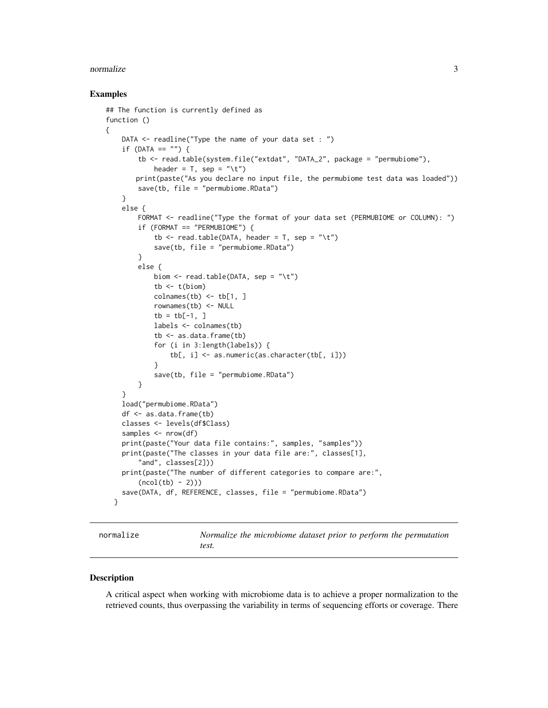#### <span id="page-2-0"></span>normalize 3

#### Examples

```
## The function is currently defined as
function ()
{
    DATA \leq readline("Type the name of your data set : ")
    if (DATA == "") {
        tb <- read.table(system.file("extdat", "DATA_2", package = "permubiome"),
            header = T, sep = "\t")
       print(paste("As you declare no input file, the permubiome test data was loaded"))
        save(tb, file = "permubiome.RData")
    }
    else {
        FORMAT <- readline("Type the format of your data set (PERMUBIOME or COLUMN): ")
        if (FORMAT == "PERMUBIOME") {
            tb \le read.table(DATA, header = T, sep = "\t")
            save(tb, file = "permubiome.RData")
        }
        else {
            biom \leq read.table(DATA, sep = "\t")
            tb < -t (biom)
            colnames(tb) \le tb[1, ]
            rownames(tb) <- NULL
            tb = tb[-1, ]labels <- colnames(tb)
            tb <- as.data.frame(tb)
            for (i in 3:length(labels)) {
                tb[, i] <- as.numeric(as.character(tb[, i]))
            }
            save(tb, file = "permubiome.RData")
        }
    }
    load("permubiome.RData")
    df <- as.data.frame(tb)
    classes <- levels(df$Class)
    samples <- nrow(df)
    print(paste("Your data file contains:", samples, "samples"))
    print(paste("The classes in your data file are:", classes[1],
        "and", classes[2]))
    print(paste("The number of different categories to compare are:",
        (ncol(tb) - 2)))save(DATA, df, REFERENCE, classes, file = "permubiome.RData")
  }
```
normalize *Normalize the microbiome dataset prior to perform the permutation test.*

#### **Description**

A critical aspect when working with microbiome data is to achieve a proper normalization to the retrieved counts, thus overpassing the variability in terms of sequencing efforts or coverage. There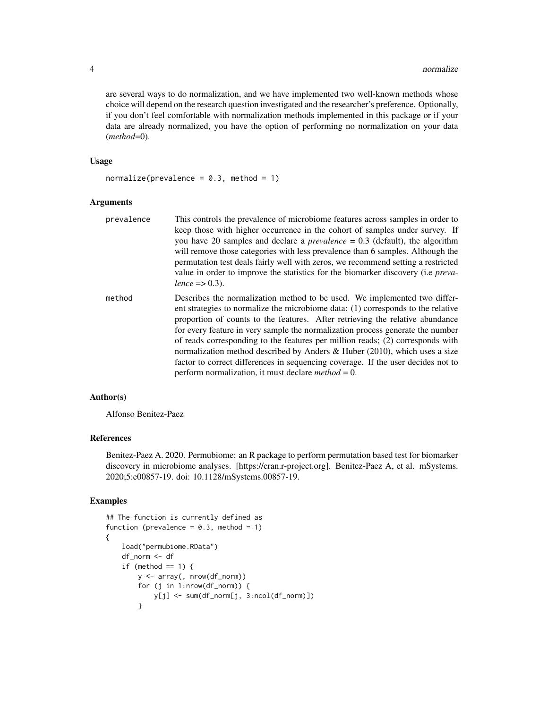are several ways to do normalization, and we have implemented two well-known methods whose choice will depend on the research question investigated and the researcher's preference. Optionally, if you don't feel comfortable with normalization methods implemented in this package or if your data are already normalized, you have the option of performing no normalization on your data (*method*=0).

## Usage

 $normalize(prevalence = 0.3, method = 1)$ 

## Arguments

| prevalence | This controls the prevalence of microbiome features across samples in order to<br>keep those with higher occurrence in the cohort of samples under survey. If<br>you have 20 samples and declare a <i>prevalence</i> = $0.3$ (default), the algorithm<br>will remove those categories with less prevalence than 6 samples. Although the<br>permutation test deals fairly well with zeros, we recommend setting a restricted<br>value in order to improve the statistics for the biomarker discovery (i.e <i>preva</i> -<br>lence => 0.3).                                                                                                            |
|------------|------------------------------------------------------------------------------------------------------------------------------------------------------------------------------------------------------------------------------------------------------------------------------------------------------------------------------------------------------------------------------------------------------------------------------------------------------------------------------------------------------------------------------------------------------------------------------------------------------------------------------------------------------|
| method     | Describes the normalization method to be used. We implemented two differ-<br>ent strategies to normalize the microbiome data: (1) corresponds to the relative<br>proportion of counts to the features. After retrieving the relative abundance<br>for every feature in very sample the normalization process generate the number<br>of reads corresponding to the features per million reads; (2) corresponds with<br>normalization method described by Anders & Huber $(2010)$ , which uses a size<br>factor to correct differences in sequencing coverage. If the user decides not to<br>perform normalization, it must declare <i>method</i> = 0. |

## Author(s)

Alfonso Benitez-Paez

### References

Benitez-Paez A. 2020. Permubiome: an R package to perform permutation based test for biomarker discovery in microbiome analyses. [https://cran.r-project.org]. Benitez-Paez A, et al. mSystems. 2020;5:e00857-19. doi: 10.1128/mSystems.00857-19.

## Examples

```
## The function is currently defined as
function (prevalence = 0.3, method = 1)
{
   load("permubiome.RData")
   df_norm <- df
    if (method == 1) {
       y <- array(, nrow(df_norm))
       for (j in 1:nrow(df_norm)) {
           y[j] <- sum(df_norm[j, 3:ncol(df_norm)])
       }
```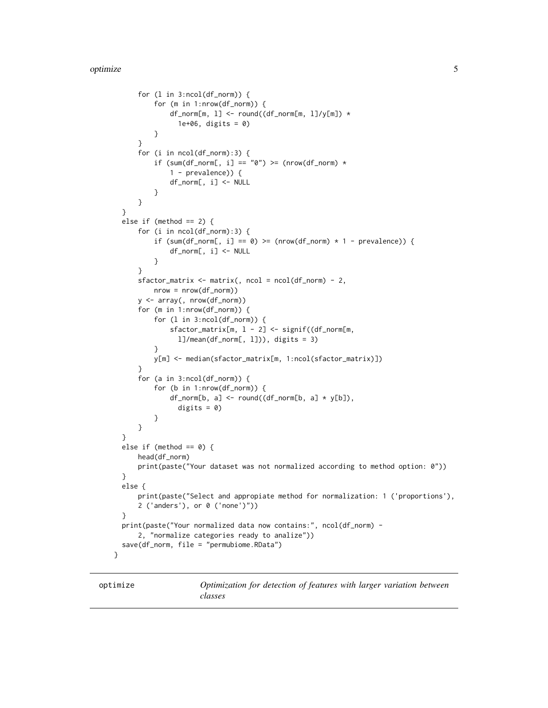```
for (l in 3:ncol(df_norm)) {
          for (m in 1:nrow(df_norm)) {
              df\_norm[m, 1] \leftarrow round((df\_norm[m, 1]/y[m]) *1e+06, digits = 0)
          }
      }
      for (i in ncol(df_norm):3) {
          if (sum(df_norm[, i] == "0") >= (nrow(df_norm) *1 - prevalence)) {
              df_norm[, i] <- NULL
          }
      }
  }
  else if (method == 2) {
      for (i in ncol(df_norm):3) {
          if (sum(df_norm[, i] == 0) >= (nrow(df_norm) * 1 - prevalence)) {
              df_norm[, i] <- NULL
          }
      }
      sfactor_matrix <- matrix(, ncol = ncol(df_norm) - 2,
          nrow = nrow(df_norm))
      y <- array(, nrow(df_norm))
      for (m in 1:nrow(df_norm)) {
          for (l in 3:ncol(df_norm)) {
              sfactor_matrix[m, l - 2] <- signif((df_norm[m,
                l]/mean(df_norm[, l])), digits = 3)
          }
          y[m] <- median(sfactor_matrix[m, 1:ncol(sfactor_matrix)])
      }
      for (a in 3:ncol(df_norm)) {
          for (b in 1:nrow(df_norm)) {
              df_norm[b, a] <- round((df_norm[b, a] * y[b]),
                digits = 0)
          }
      }
  }
  else if (method == 0) {
      head(df_norm)
      print(paste("Your dataset was not normalized according to method option: 0"))
  }
  else {
      print(paste("Select and appropiate method for normalization: 1 ('proportions'),
      2 ('anders'), or 0 ('none')"))
  }
  print(paste("Your normalized data now contains:", ncol(df_norm) -
      2, "normalize categories ready to analize"))
  save(df_norm, file = "permubiome.RData")
}
```
optimize *Optimization for detection of features with larger variation between classes*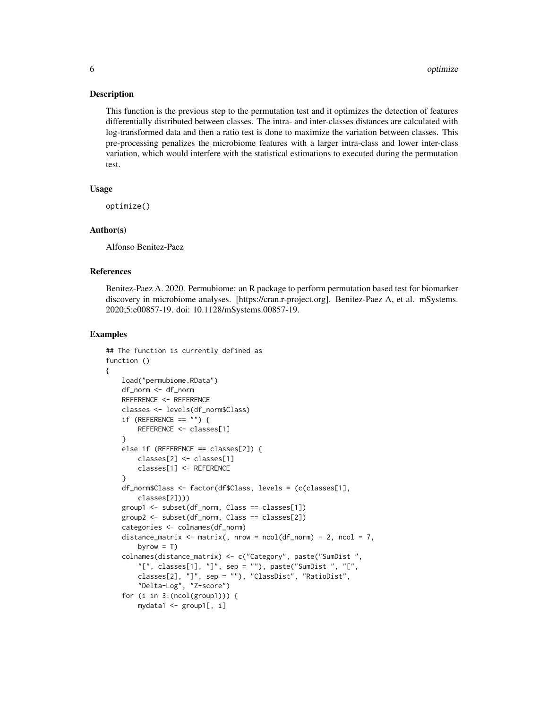#### <span id="page-5-0"></span>Description

This function is the previous step to the permutation test and it optimizes the detection of features differentially distributed between classes. The intra- and inter-classes distances are calculated with log-transformed data and then a ratio test is done to maximize the variation between classes. This pre-processing penalizes the microbiome features with a larger intra-class and lower inter-class variation, which would interfere with the statistical estimations to executed during the permutation test.

#### Usage

optimize()

#### Author(s)

Alfonso Benitez-Paez

## References

Benitez-Paez A. 2020. Permubiome: an R package to perform permutation based test for biomarker discovery in microbiome analyses. [https://cran.r-project.org]. Benitez-Paez A, et al. mSystems. 2020;5:e00857-19. doi: 10.1128/mSystems.00857-19.

#### Examples

{

```
## The function is currently defined as
function ()
   load("permubiome.RData")
   df_norm <- df_norm
   REFERENCE <- REFERENCE
   classes <- levels(df_norm$Class)
    if (REFERENCE == "") {
        REFERENCE <- classes[1]
    }
   else if (REFERENCE == classes[2]) {
        classes[2] <- classes[1]
        classes[1] <- REFERENCE
    }
    df_norm$Class <- factor(df$Class, levels = (c(classes[1],
        classes[2])))
   group1 <- subset(df_norm, Class == classes[1])
   group2 <- subset(df_norm, Class == classes[2])
   categories <- colnames(df_norm)
   distance_matrix \leq matrix(, nrow = ncol(df_norm) - 2, ncol = 7,
        byrow = T)
    colnames(distance_matrix) <- c("Category", paste("SumDist ",
        "[", classes[1], "]", sep = ""), paste("SumDist ", "[",
        classes[2], "]", sep = ""), "ClassDist", "RatioDist",
        "Delta-Log", "Z-score")
    for (i in 3:(ncol(group1))) {
        mydata1 <- group1[, i]
```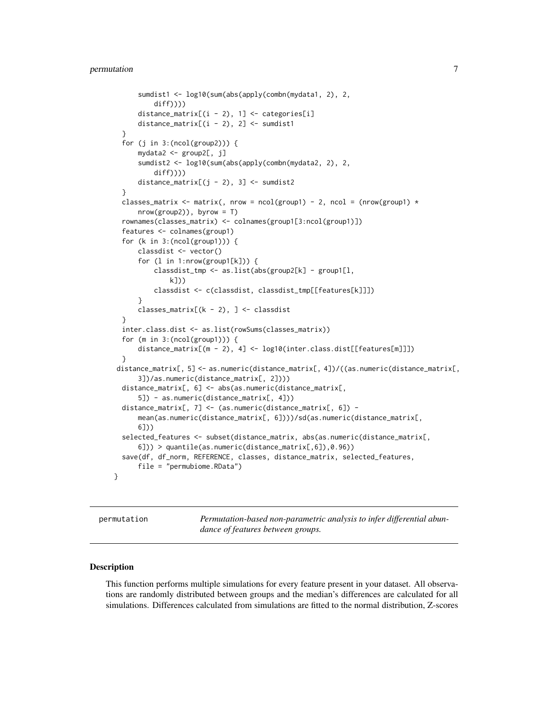## <span id="page-6-0"></span>permutation 7

```
sumdist1 <- log10(sum(abs(apply(combn(mydata1, 2), 2,
          diff))))
      distance_matrix[(i - 2), 1] <- categories[i]
      distance_matrix[(i - 2), 2] <- sumdist1
  }
  for (j in 3:(\text{ncol}(\text{group2}))) {
      mydata2 <- group2[, j]
      sumdist2 <- log10(sum(abs(apply(combn(mydata2, 2), 2,
          diff))))
      distance_matrix[(j - 2), 3] <- sumdist2
  }
  classes_matrix <- matrix(, nrow = ncol(group1) - 2, ncol = (nrow(group1) *nrow(group2)), byrow = T)
  rownames(classes_matrix) <- colnames(group1[3:ncol(group1)])
  features <- colnames(group1)
  for (k in 3:(ncol(group1))) {
      classdist <- vector()
      for (l in 1:nrow(group1[k])) {
          classdist_tmp <- as.list(abs(group2[k] - group1[l,
              k]))
          classdist <- c(classdist, classdist_tmp[[features[k]]])
      }
      classes_matrix[(k - 2), ] <- classdist
  }
  inter.class.dist <- as.list(rowSums(classes_matrix))
  for (m in 3:(ncol(group1))) {
      distance_matrix[(m - 2), 4] <- log10(inter.class.dist[[features[m]]])
  }
 distance_matrix[, 5] <- as.numeric(distance_matrix[, 4])/((as.numeric(distance_matrix[,
      3])/as.numeric(distance_matrix[, 2])))
  distance_matrix[, 6] <- abs(as.numeric(distance_matrix[,
      5]) - as.numeric(distance_matrix[, 4]))
  distance_matrix[, 7] <- (as.numeric(distance_matrix[, 6]) -
      mean(as.numeric(distance_matrix[, 6])))/sd(as.numeric(distance_matrix[,
      6]))
  selected_features <- subset(distance_matrix, abs(as.numeric(distance_matrix[,
      6])) > quantile(as.numeric(distance_matrix[,6]),0.96))
  save(df, df_norm, REFERENCE, classes, distance_matrix, selected_features,
      file = "permubiome.RData")
}
```
permutation *Permutation-based non-parametric analysis to infer differential abundance of features between groups.*

#### **Description**

This function performs multiple simulations for every feature present in your dataset. All observations are randomly distributed between groups and the median's differences are calculated for all simulations. Differences calculated from simulations are fitted to the normal distribution, Z-scores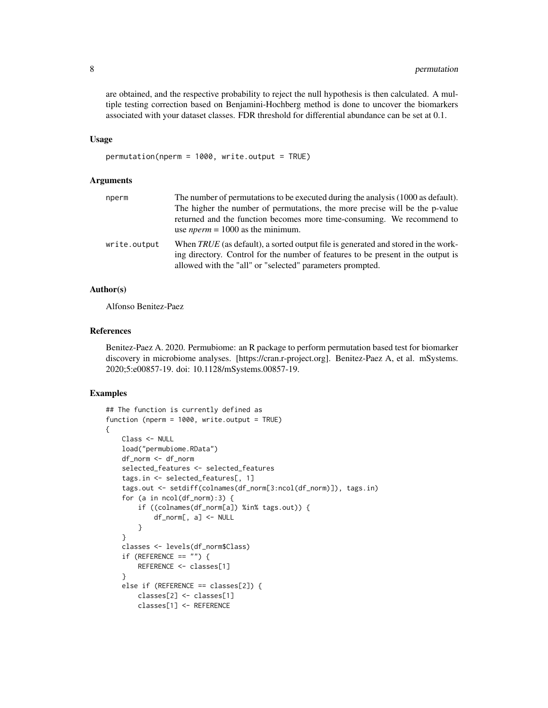are obtained, and the respective probability to reject the null hypothesis is then calculated. A multiple testing correction based on Benjamini-Hochberg method is done to uncover the biomarkers associated with your dataset classes. FDR threshold for differential abundance can be set at 0.1.

#### Usage

permutation(nperm = 1000, write.output = TRUE)

#### Arguments

| nperm        | The number of permutations to be executed during the analysis (1000 as default).<br>The higher the number of permutations, the more precise will be the p-value<br>returned and the function becomes more time-consuming. We recommend to<br>use <i>nperm</i> = $1000$ as the minimum. |
|--------------|----------------------------------------------------------------------------------------------------------------------------------------------------------------------------------------------------------------------------------------------------------------------------------------|
| write.output | When TRUE (as default), a sorted output file is generated and stored in the work-<br>ing directory. Control for the number of features to be present in the output is<br>allowed with the "all" or "selected" parameters prompted.                                                     |

## Author(s)

Alfonso Benitez-Paez

## References

Benitez-Paez A. 2020. Permubiome: an R package to perform permutation based test for biomarker discovery in microbiome analyses. [https://cran.r-project.org]. Benitez-Paez A, et al. mSystems. 2020;5:e00857-19. doi: 10.1128/mSystems.00857-19.

#### Examples

```
## The function is currently defined as
function (nperm = 1000, write.output = TRUE)
{
   Class <- NULL
   load("permubiome.RData")
   df_norm <- df_norm
    selected_features <- selected_features
    tags.in <- selected_features[, 1]
    tags.out <- setdiff(colnames(df_norm[3:ncol(df_norm)]), tags.in)
    for (a in ncol(df_norm):3) {
       if ((colnames(df_norm[a]) %in% tags.out)) {
            df_norm[, a] <- NULL
        }
    }
   classes <- levels(df_norm$Class)
    if (REFERENCE == "") {
       REFERENCE <- classes[1]
    }
    else if (REFERENCE == classes[2]) {
       classes[2] <- classes[1]
       classes[1] <- REFERENCE
```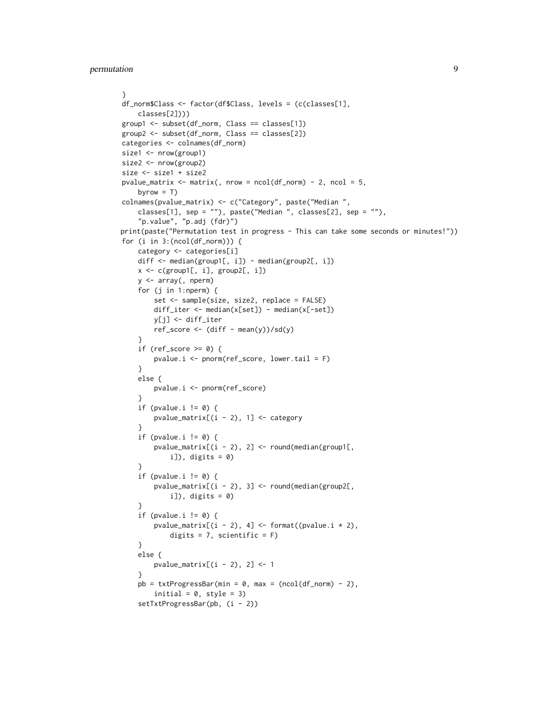```
}
df_norm$Class <- factor(df$Class, levels = (c(classes[1],
    classes[2])))
group1 <- subset(df_norm, Class == classes[1])
group2 <- subset(df_norm, Class == classes[2])
categories <- colnames(df_norm)
size1 <- nrow(group1)
size2 <- nrow(group2)
size <- size1 + size2
pvalue_matrix <- matrix(, nrow = ncol(df_norm) - 2, ncol = 5,
    byrow = T)
colnames(pvalue_matrix) <- c("Category", paste("Median ",
    classes[1], sep = ""), paste("Median ", classes[2], sep = ""),
    "p.value", "p.adj (fdr)")
print(paste("Permutation test in progress - This can take some seconds or minutes!"))
for (i in 3:(ncol(df_norm))) {
    category <- categories[i]
    diff <- median(group1[, i]) - median(group2[, i])
    x \leftarrow c(group1[, i], group2[, i])y <- array(, nperm)
    for (j in 1:nperm) {
        set <- sample(size, size2, replace = FALSE)
        diff_iter <- median(x[set]) - median(x[-set])
        y[j] <- diff_iter
        ref\_score \leftarrow (diff - mean(y)) / sd(y)}
    if (ref_score \geq 0) {
        pvalue.i <- pnorm(ref_score, lower.tail = F)
    }
    else {
        pvalue.i <- pnorm(ref_score)
    }
    if (pvalue.i != 0) {
        pvalue_matrix[(i - 2), 1] < - category}
    if (pvalue.i != 0) {
        pvalue_matrix[(i - 2), 2] < -round(median(group1[,i]), digits = 0)
    }
    if (pvalue.i != 0) {
        pvalue_matrix[(i - 2), 3] < -round(median(group2[,i]), digits = 0)
    }
    if (pvalue.i != 0) {
        pvalue_matrix[(i - 2), 4] <- format((pvalue.i * 2),
            digits = 7, scientific = F)
    }
    else {
        pvalue_matrix[(i - 2), 2] < -1}
    pb = txtProgressBar(min = 0, max = (ncol(df_norm) - 2),initial = 0, style = 3)
    setTxtProgressBar(pb, (i - 2))
```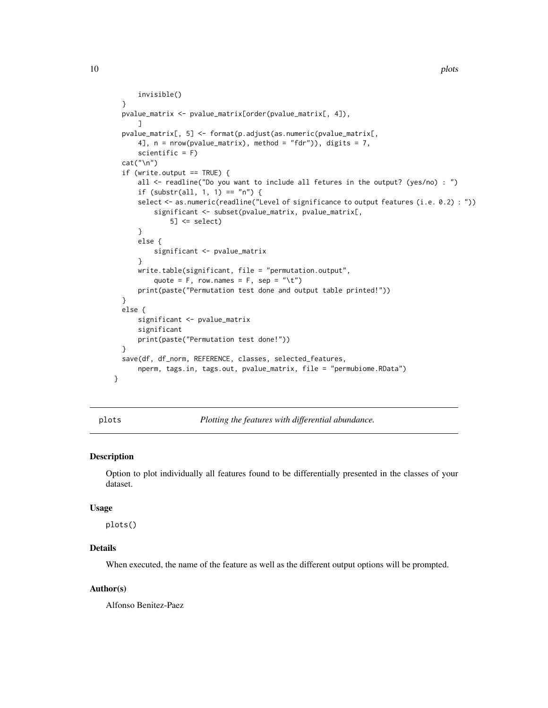```
invisible()
  }
  pvalue_matrix <- pvalue_matrix[order(pvalue_matrix[, 4]),
      ]
  pvalue_matrix[, 5] <- format(p.adjust(as.numeric(pvalue_matrix[,
      4], n = nrow(pvalue_matrix), method = "fdr")), digits = 7,
      scientific = F)
  cat("\n")
  if (write.output == TRUE) \{all <- readline("Do you want to include all fetures in the output? (yes/no) : ")
      if (substr(all, 1, 1) == "n") {
      select <- as.numeric(readline("Level of significance to output features (i.e. 0.2) : "))
          significant <- subset(pvalue_matrix, pvalue_matrix[,
              5] \leq select}
      else {
          significant <- pvalue_matrix
      }
      write.table(significant, file = "permutation.output",
          quote = F, row.names = F, sep = ''\t t'')
      print(paste("Permutation test done and output table printed!"))
  }
  else {
      significant <- pvalue_matrix
      significant
      print(paste("Permutation test done!"))
  }
  save(df, df_norm, REFERENCE, classes, selected_features,
      nperm, tags.in, tags.out, pvalue_matrix, file = "permubiome.RData")
}
```
plots *Plotting the features with differential abundance.*

## Description

Option to plot individually all features found to be differentially presented in the classes of your dataset.

#### Usage

plots()

## Details

When executed, the name of the feature as well as the different output options will be prompted.

#### Author(s)

Alfonso Benitez-Paez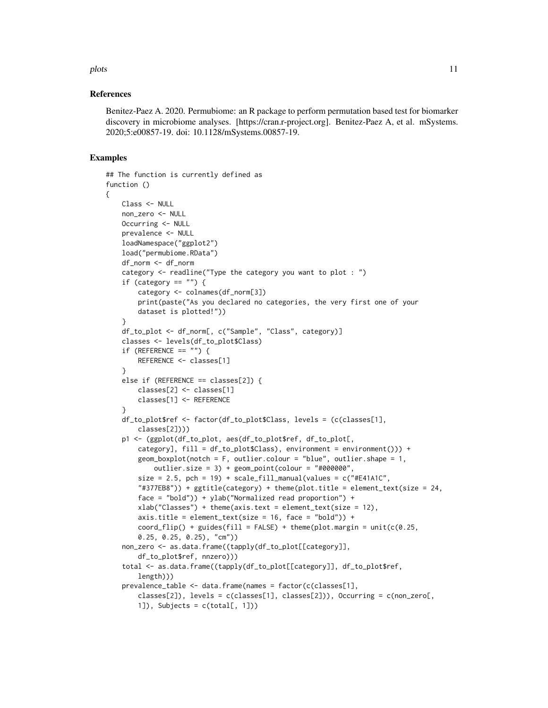#### plots that the contract of the contract of the contract of the contract of the contract of the contract of the contract of the contract of the contract of the contract of the contract of the contract of the contract of the

#### References

Benitez-Paez A. 2020. Permubiome: an R package to perform permutation based test for biomarker discovery in microbiome analyses. [https://cran.r-project.org]. Benitez-Paez A, et al. mSystems. 2020;5:e00857-19. doi: 10.1128/mSystems.00857-19.

## Examples

{

```
## The function is currently defined as
function ()
   Class <- NULL
   non_zero <- NULL
   Occurring <- NULL
   prevalence <- NULL
   loadNamespace("ggplot2")
   load("permubiome.RData")
   df_norm <- df_norm
   category <- readline("Type the category you want to plot : ")
    if (category == "") {
       category <- colnames(df_norm[3])
       print(paste("As you declared no categories, the very first one of your
       dataset is plotted!"))
    }
   df_to_plot <- df_norm[, c("Sample", "Class", category)]
    classes <- levels(df_to_plot$Class)
    if (REFERENCE == ") {
       REFERENCE <- classes[1]
    }
    else if (REFERENCE == classes[2]) {
       classes[2] <- classes[1]
       classes[1] <- REFERENCE
    }
    df_to_plot$ref <- factor(df_to_plot$Class, levels = (c(classes[1],
        classes[2])))
   p1 <- (ggplot(df_to_plot, aes(df_to_plot$ref, df_to_plot[,
       category], fill = df_to_plot$Class), environment = environment())) +
       geom_boxplot(notch = F, outlier.colour = "blue", outlier.shape = 1,
            outlier.size = 3) + geom_point(colour = "#000000",
       size = 2.5, pch = 19) + scale_fill_manual(values = c("#E41A1C","#377EB8")) + ggtitle(category) + theme(plot.title = element_text(size = 24,
       face = "bold")) + ylab("Normalized read proportion") +
       xlab("Classes") + theme(axis.text = element_test(size = 12),axis.title = element_test(size = 16, face = "bold") +coord_flip() + guides(fill = FALSE) + theme(plot.margin = unit(c(0.25,
       0.25, 0.25, 0.25), "cm"))
    non_zero <- as.data.frame((tapply(df_to_plot[[category]],
       df_to_plot$ref, nnzero)))
    total <- as.data.frame((tapply(df_to_plot[[category]], df_to_plot$ref,
       length)))
    prevalence_table <- data.frame(names = factor(c(classes[1],
       classes[2]), levels = c(classes[1], classes[2])), Occurring = c(non_zero[,
       1]), Subjects = c(total[, 1]))
```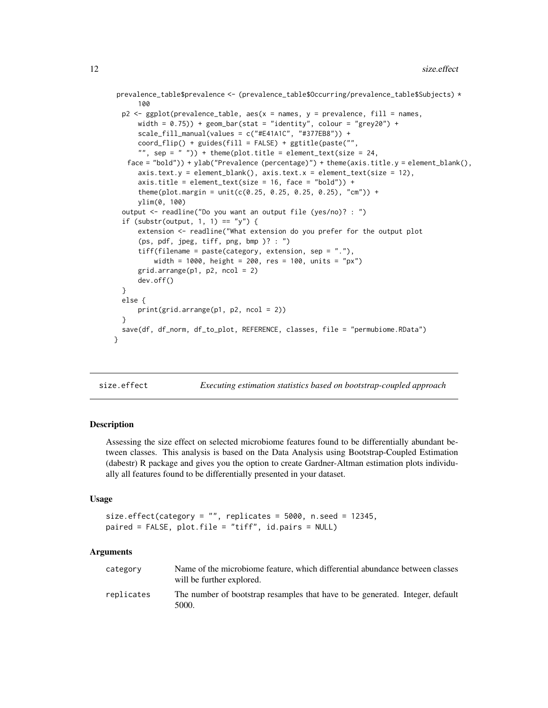```
prevalence_table$prevalence <- (prevalence_table$Occurring/prevalence_table$Subjects) *
      100
  p2 \leq gghot(prevalence_table, aes(x = names, y = prevalence, fill = names,width = (0.75)) + geom_bar(stat = "identity", colour = "grey20") +
      scale_fill_manual(values = c("#E41A1C", "#377EB8")) +
      coord_flip() + guides(fill = FALSE) + ggtitle(paste("",
      "", sep = " ")) + theme(plot.title = element_text(size = 24,
   face = "bold")) + ylab("Prevalence (percentage)") + theme(axis.title.y = element_blank(),
      axis.text.y = element_blank(), axis.text.x = element_text(size = 12),axis.title = element_text(size = 16, face = "bold")) +
      theme(plot.margin = unit(c(0.25, 0.25, 0.25, 0.25), "cm")) +
      ylim(0, 100)
  output <- readline("Do you want an output file (yes/no)? : ")
  if (substr(output, 1, 1) == "y") {
      extension <- readline("What extension do you prefer for the output plot
      (ps, pdf, jpeg, tiff, png, bmp )? : ")
      tiff(filename = paste(category, extension, sep = "."),
          width = 1000, height = 200, res = 100, units = "px")
      grid.arrayange(p1, p2, ncol = 2)dev.off()
  }
  else {
      print(grid.arrange(p1, p2, ncol = 2))
  }
  save(df, df_norm, df_to_plot, REFERENCE, classes, file = "permubiome.RData")
}
```
size.effect *Executing estimation statistics based on bootstrap-coupled approach*

#### Description

Assessing the size effect on selected microbiome features found to be differentially abundant between classes. This analysis is based on the Data Analysis using Bootstrap-Coupled Estimation (dabestr) R package and gives you the option to create Gardner-Altman estimation plots individually all features found to be differentially presented in your dataset.

#### Usage

```
size.effect(category = "", replicates = 5000, n.seed = 12345,
paired = FALSE, plot.file = "tiff", id.pairs = NULL)
```
## Arguments

| category   | Name of the microbiome feature, which differential abundance between classes<br>will be further explored. |
|------------|-----------------------------------------------------------------------------------------------------------|
| replicates | The number of bootstrap resamples that have to be generated. Integer, default<br>5000.                    |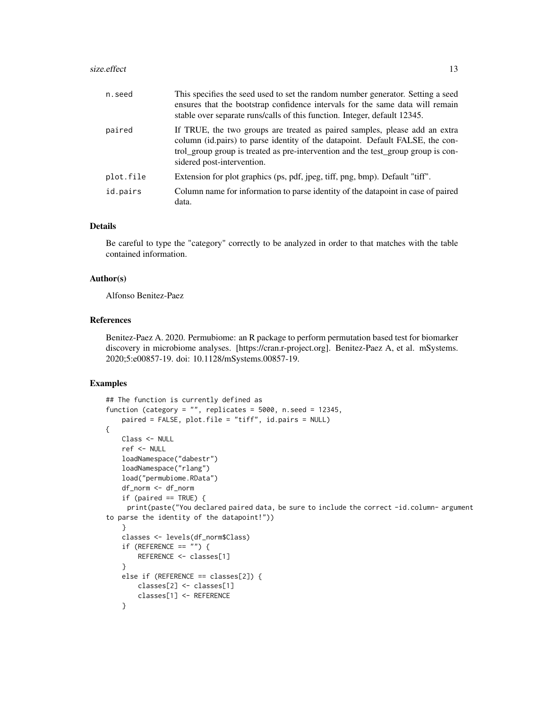#### size.effect 13

| n.seed    | This specifies the seed used to set the random number generator. Setting a seed<br>ensures that the bootstrap confidence intervals for the same data will remain<br>stable over separate runs/calls of this function. Integer, default 12345.                                 |
|-----------|-------------------------------------------------------------------------------------------------------------------------------------------------------------------------------------------------------------------------------------------------------------------------------|
| paired    | If TRUE, the two groups are treated as paired samples, please add an extra<br>column (id.pairs) to parse identity of the datapoint. Default FALSE, the con-<br>trol_group group is treated as pre-intervention and the test_group group is con-<br>sidered post-intervention. |
| plot.file | Extension for plot graphics (ps, pdf, jpeg, tiff, png, bmp). Default "tiff".                                                                                                                                                                                                  |
| id.pairs  | Column name for information to parse identity of the datapoint in case of paired<br>data.                                                                                                                                                                                     |

#### Details

Be careful to type the "category" correctly to be analyzed in order to that matches with the table contained information.

#### Author(s)

Alfonso Benitez-Paez

## References

Benitez-Paez A. 2020. Permubiome: an R package to perform permutation based test for biomarker discovery in microbiome analyses. [https://cran.r-project.org]. Benitez-Paez A, et al. mSystems. 2020;5:e00857-19. doi: 10.1128/mSystems.00857-19.

## Examples

```
## The function is currently defined as
function (category = ", replicates = 5000, n.seed = 12345,
   paired = FALSE, plot.file = "tiff", id.pairs = NULL)
{
   Class <- NULL
   ref <- NULL
   loadNamespace("dabestr")
   loadNamespace("rlang")
    load("permubiome.RData")
    df_norm <- df_norm
    if (paired == TRUE) {
     print(paste("You declared paired data, be sure to include the correct -id.column- argument
to parse the identity of the datapoint!"))
    }
   classes <- levels(df_norm$Class)
    if (REFERENCE == "") {
       REFERENCE <- classes[1]
    }
   else if (REFERENCE == classes[2]) {
       classes[2] <- classes[1]
        classes[1] <- REFERENCE
    }
```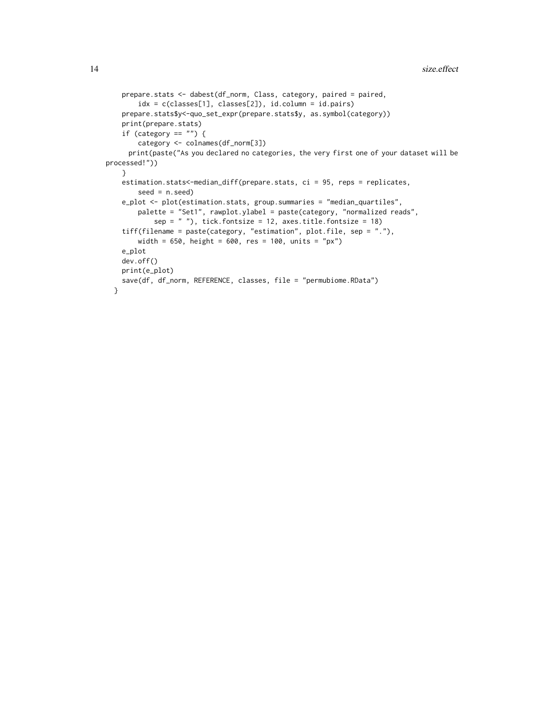```
prepare.stats <- dabest(df_norm, Class, category, paired = paired,
       idx = c(classes[1], classes[2]), id.column = id.pairs)
   prepare.stats$y<-quo_set_expr(prepare.stats$y, as.symbol(category))
   print(prepare.stats)
    if (category == "") {
       category <- colnames(df_norm[3])
     print(paste("As you declared no categories, the very first one of your dataset will be
processed!"))
   }
   estimation.stats<-median_diff(prepare.stats, ci = 95, reps = replicates,
       seed = n.seed)e_plot <- plot(estimation.stats, group.summaries = "median_quartiles",
       palette = "Set1", rawplot.ylabel = paste(category, "normalized reads",
           sep = ""), tick.fontsize = 12, axes.title.fontsize = 18)
    tiff(filename = paste(category, "estimation", plot.file, sep = "."),
       width = 650, height = 600, res = 100, units = "px")
   e_plot
   dev.off()
   print(e_plot)
   save(df, df_norm, REFERENCE, classes, file = "permubiome.RData")
 }
```